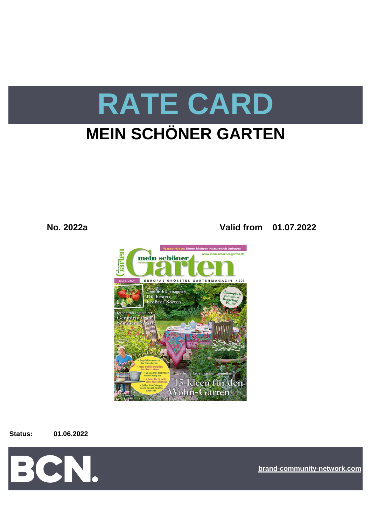

**No. 2022a Valid from 01.07.2022**



#### **Status: 01.06.2022**



**[bra](https://bcn.burda.com/)nd-community-network.com**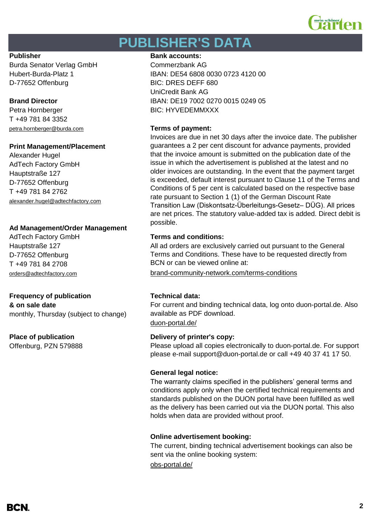

# **PUBLISHER'S DATA**

Burda Senator Verlag GmbH Commerzbank AG D-77652 Offenburg BIC: DRES DEFF 680

Petra Hornberger BIC: HYVEDEMMXXX T +49 781 84 3352 [petra.hornberger@burda.com](mailto:petra.hornberger@burda.com) **Terms of payment:**

### **Print Management/Placement**

Alexander Hugel AdTech Factory GmbH Hauptstraße 127 D-77652 Offenburg T +49 781 84 2762 [alexander.hugel@adtechfactory.com](mailto:alexander.hugel@adtechfactory.com)

### **Ad Management/Order Management**

Hauptstraße 127 D-77652 Offenburg T +49 781 84 2708

## **Frequency of publication Technical data:**

**& on sale date** monthly, Thursday (subject to change)

Offenburg, PZN 579888

#### **Publisher Bank accounts: Bank accounts:**

Hubert-Burda-Platz 1 IBAN: DE54 6808 0030 0723 4120 00 UniCredit Bank AG **Brand Director IBAN: DE19 7002 0270 0015 0249 05** 

Invoices are due in net 30 days after the invoice date. The publisher guarantees a 2 per cent discount for advance payments, provided that the invoice amount is submitted on the publication date of the issue in which the advertisement is published at the latest and no older invoices are outstanding. In the event that the payment target is exceeded, default interest pursuant to Clause 11 of the Terms and Conditions of 5 per cent is calculated based on the respective base rate pursuant to Section 1 (1) of the German Discount Rate Transition Law (Diskontsatz-Überleitungs-Gesetz– DÜG). All prices are net prices. The statutory value-added tax is added. Direct debit is possible.

## AdTech Factory GmbH **Terms and conditions:**

All ad orders are exclusively carried out pursuant to the General Terms and Conditions. These have to be requested directly from BCN or can be viewed online at:

[orders@adtechfactory.com](mailto:orders@adtechfactory.com) [brand-community-network.com/terms-conditions](https://bcn.burda.com/terms-conditions)

For current and binding technical data, log onto duon-portal.de. Also available as PDF download.

[duon-portal.de/](https://duon-portal.de/)

### **Place of publication Delivery of printer's copy:**

Please upload all copies electronically to duon-portal.de. For support please e-mail support@duon-portal.de or call +49 40 37 41 17 50.

#### **General legal notice:**

The warranty claims specified in the publishers' general terms and conditions apply only when the certified technical requirements and standards published on the DUON portal have been fulfilled as well as the delivery has been carried out via the DUON portal. This also holds when data are provided without proof.

#### **Online advertisement booking:**

The current, binding technical advertisement bookings can also be sent via the online booking system:

[obs-portal.de/](https://www.obs-portal.de/)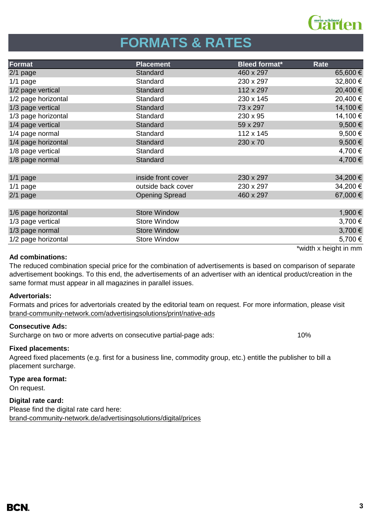

# **FORMATS & RATES**

| Format              | <b>Placement</b>      | <b>Bleed format*</b> | Rate        |
|---------------------|-----------------------|----------------------|-------------|
| $2/1$ page          | Standard              | 460 x 297            | 65,600€     |
| $1/1$ page          | Standard              | 230 x 297            | 32,800 €    |
| 1/2 page vertical   | Standard              | 112 x 297            | 20,400 €    |
| 1/2 page horizontal | Standard              | 230 x 145            | 20,400 €    |
| 1/3 page vertical   | Standard              | 73 x 297             | 14,100 €    |
| 1/3 page horizontal | Standard              | 230 x 95             | 14,100 €    |
| 1/4 page vertical   | Standard              | 59 x 297             | 9,500 $\in$ |
| 1/4 page normal     | Standard              | 112 x 145            | 9,500€      |
| 1/4 page horizontal | Standard              | 230 x 70             | $9,500 \in$ |
| 1/8 page vertical   | Standard              |                      | 4,700 €     |
| 1/8 page normal     | Standard              |                      | 4,700 €     |
|                     |                       |                      |             |
| $1/1$ page          | inside front cover    | 230 x 297            | 34,200 €    |
| $1/1$ page          | outside back cover    | 230 x 297            | 34,200 €    |
| $2/1$ page          | <b>Opening Spread</b> | 460 x 297            | 67,000 €    |
|                     |                       |                      |             |
| 1/6 page horizontal | <b>Store Window</b>   |                      | 1,900 €     |
| 1/3 page vertical   | <b>Store Window</b>   |                      | 3,700 €     |
| 1/3 page normal     | <b>Store Window</b>   |                      | 3,700 €     |
| 1/2 page horizontal | <b>Store Window</b>   |                      | 5,700 €     |

## **Ad combinations:**

\*width x height in mm

The reduced combination special price for the combination of advertisements is based on comparison of separate advertisement bookings. To this end, the advertisements of an advertiser with an identical product/creation in the same format must appear in all magazines in parallel issues.

### **Advertorials:**

[brand-community-network.com/advertisin](https://bcn.burda.com/advertisingsolutions/print/native-ads)gsolutions/print/native-ads Formats and prices for advertorials created by the editorial team on request. For more information, please visit

### **Consecutive Ads:**

Surcharge on two or more adverts on consecutive partial-page ads: 10%

### **Fixed placements:**

Agreed fixed placements (e.g. first for a business line, commodity group, etc.) entitle the publisher to bill a placement surcharge.

#### **Type area format:**

On request.

### **Digital rate card:**

Please find the digital rate card here: [brand-community-network.de/advertisingsolutions/digital/prices](https://bcn.burda.com/advertisingsolutions/digital/prices)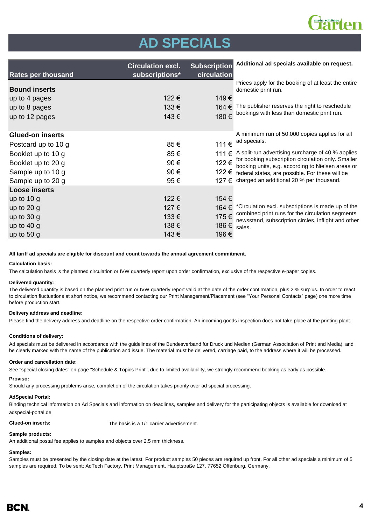

# **AD SPECIALS**

| <b>Rates per thousand</b> | <b>Circulation excl.</b><br>subscriptions* | <b>Subscription</b><br>circulation | Additional ad specials available on request.                                                            |
|---------------------------|--------------------------------------------|------------------------------------|---------------------------------------------------------------------------------------------------------|
| <b>Bound inserts</b>      |                                            |                                    | Prices apply for the booking of at least the entire<br>domestic print run.                              |
| up to 4 pages             | 122€                                       | 149€                               |                                                                                                         |
| up to 8 pages             | 133€                                       | 164 €                              | The publisher reserves the right to reschedule                                                          |
| up to 12 pages            | 143€                                       | 180€                               | bookings with less than domestic print run.                                                             |
| <b>Glued-on inserts</b>   |                                            |                                    | A minimum run of 50,000 copies applies for all                                                          |
| Postcard up to 10 g       | 85€                                        | 111€                               | ad specials.                                                                                            |
| Booklet up to 10 g        | 85€                                        | 111€                               | A split-run advertising surcharge of 40 % applies                                                       |
| Booklet up to 20 g        | 90€                                        | 122€                               | for booking subscription circulation only. Smaller<br>booking units, e.g. according to Nielsen areas or |
| Sample up to 10 g         | 90€                                        | 122 €                              | federal states, are possible. For these will be                                                         |
| Sample up to 20 g         | 95€                                        | 127 €                              | charged an additional 20 % per thousand.                                                                |
| <b>Loose inserts</b>      |                                            |                                    |                                                                                                         |
| up to $10 g$              | 122€                                       | 154 €                              |                                                                                                         |
| up to $20$ g              | 127€                                       | 164 €                              | *Circulation excl. subscriptions is made up of the                                                      |
| up to $30 g$              | 133€                                       | 175€                               | combined print runs for the circulation segments<br>newsstand, subscription circles, inflight and other |
| up to $40 g$              | 138€                                       | 186€                               | sales.                                                                                                  |
| up to $50 g$              | 143€                                       | 196 €                              |                                                                                                         |

**All tariff ad specials are eligible for discount and count towards the annual agreement commitment.**

#### **Calculation basis:**

The calculation basis is the planned circulation or IVW quarterly report upon order confirmation, exclusive of the respective e-paper copies.

#### **Delivered quantity:**

The delivered quantity is based on the planned print run or IVW quarterly report valid at the date of the order confirmation, plus 2 % surplus. In order to react to circulation fluctuations at short notice, we recommend contacting our Print Management/Placement (see "Your Personal Contacts" page) one more time before production start.

#### **Delivery address and deadline:**

Please find the delivery address and deadline on the respective order confirmation. An incoming goods inspection does not take place at the printing plant.

#### **Conditions of delivery:**

Ad specials must be delivered in accordance with the guidelines of the Bundesverband für Druck und Medien (German Association of Print and Media), and be clearly marked with the name of the publication and issue. The material must be delivered, carriage paid, to the address where it will be processed.

#### **Order and cancellation date:**

See "special closing dates" on page "Schedule & Topics Print"; due to limited availability, we strongly recommend booking as early as possible.

#### **Proviso:**

Should any processing problems arise, completion of the circulation takes priority over ad special processing.

#### **AdSpecial Portal:**

Binding technical information on Ad Specials and information on deadlines, samples and delivery for the participating objects is available for download at adspecial-portal.de

**Glued-on inserts:** The basis is a 1/1 carrier advertisement.

#### **Sample products:**

An additional postal fee applies to samples and objects over 2.5 mm thickness.

#### **Samples:**

Samples must be presented by the closing date at the latest. For product samples 50 pieces are required up front. For all other ad specials a minimum of 5 samples are required. To be sent: AdTech Factory, Print Management, Hauptstraße 127, 77652 Offenburg, Germany.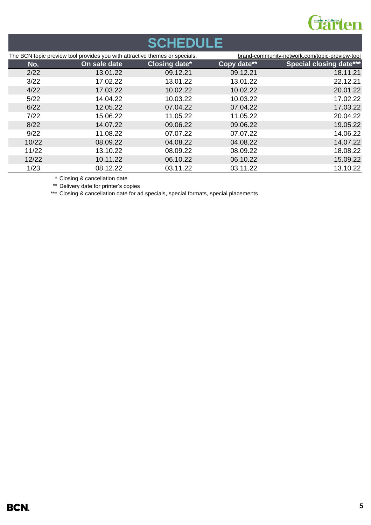

# **SCHEDULE**

|       | The BCN topic preview tool provides you with attractive themes or specials: |                      |             | brand-community-network.com/topic-preview-tool |
|-------|-----------------------------------------------------------------------------|----------------------|-------------|------------------------------------------------|
| No.   | On sale date                                                                | <b>Closing date*</b> | Copy date** | <b>Special closing date***</b>                 |
| 2/22  | 13.01.22                                                                    | 09.12.21             | 09.12.21    | 18.11.21                                       |
| 3/22  | 17.02.22                                                                    | 13.01.22             | 13.01.22    | 22.12.21                                       |
| 4/22  | 17.03.22                                                                    | 10.02.22             | 10.02.22    | 20.01.22                                       |
| 5/22  | 14.04.22                                                                    | 10.03.22             | 10.03.22    | 17.02.22                                       |
| 6/22  | 12.05.22                                                                    | 07.04.22             | 07.04.22    | 17.03.22                                       |
| 7/22  | 15.06.22                                                                    | 11.05.22             | 11.05.22    | 20.04.22                                       |
| 8/22  | 14.07.22                                                                    | 09.06.22             | 09.06.22    | 19.05.22                                       |
| 9/22  | 11.08.22                                                                    | 07.07.22             | 07.07.22    | 14.06.22                                       |
| 10/22 | 08.09.22                                                                    | 04.08.22             | 04.08.22    | 14.07.22                                       |
| 11/22 | 13.10.22                                                                    | 08.09.22             | 08.09.22    | 18.08.22                                       |
| 12/22 | 10.11.22                                                                    | 06.10.22             | 06.10.22    | 15.09.22                                       |
| 1/23  | 08.12.22                                                                    | 03.11.22             | 03.11.22    | 13.10.22                                       |

\* Closing & cancellation date

\*\* Delivery date for printer's copies

\*\*\* Closing & cancellation date for ad specials, special formats, special placements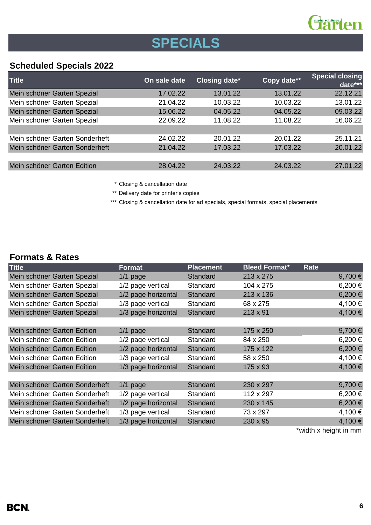

# **SPECIALS**

## **Scheduled Specials 2022**

| <b>Title</b>                   | On sale date | <b>Closing date*</b> | Copy date** | <b>Special closing</b><br>date*** |
|--------------------------------|--------------|----------------------|-------------|-----------------------------------|
| Mein schöner Garten Spezial    | 17.02.22     | 13.01.22             | 13.01.22    | 22.12.21                          |
| Mein schöner Garten Spezial    | 21.04.22     | 10.03.22             | 10.03.22    | 13.01.22                          |
| Mein schöner Garten Spezial    | 15.06.22     | 04.05.22             | 04.05.22    | 09.03.22                          |
| Mein schöner Garten Spezial    | 22.09.22     | 11.08.22             | 11.08.22    | 16.06.22                          |
|                                |              |                      |             |                                   |
| Mein schöner Garten Sonderheft | 24.02.22     | 20.01.22             | 20.01.22    | 25.11.21                          |
| Mein schöner Garten Sonderheft | 21.04.22     | 17.03.22             | 17.03.22    | 20.01.22                          |
|                                |              |                      |             |                                   |
| Mein schöner Garten Edition    | 28.04.22     | 24.03.22             | 24.03.22    | 27.01.22                          |
|                                |              |                      |             |                                   |

\* Closing & cancellation date

\*\* Delivery date for printer's copies

\*\*\* Closing & cancellation date for ad specials, special formats, special placements

## **Formats & Rates**

| <b>Title</b>                   | Format              | <b>Placement</b> | <b>Bleed Format*</b> | Rate    |
|--------------------------------|---------------------|------------------|----------------------|---------|
| Mein schöner Garten Spezial    | $1/1$ page          | Standard         | 213 x 275            | 9,700€  |
| Mein schöner Garten Spezial    | 1/2 page vertical   | Standard         | 104 x 275            | 6,200 € |
| Mein schöner Garten Spezial    | 1/2 page horizontal | <b>Standard</b>  | 213 x 136            | 6,200€  |
| Mein schöner Garten Spezial    | 1/3 page vertical   | Standard         | 68 x 275             | 4,100 € |
| Mein schöner Garten Spezial    | 1/3 page horizontal | Standard         | $213 \times 91$      | 4,100 € |
|                                |                     |                  |                      |         |
| Mein schöner Garten Edition    | $1/1$ page          | Standard         | 175 x 250            | 9,700€  |
| Mein schöner Garten Edition    | 1/2 page vertical   | Standard         | 84 x 250             | 6,200€  |
| Mein schöner Garten Edition    | 1/2 page horizontal | <b>Standard</b>  | 175 x 122            | 6,200€  |
| Mein schöner Garten Edition    | 1/3 page vertical   | Standard         | 58 x 250             | 4,100 € |
| Mein schöner Garten Edition    | 1/3 page horizontal | Standard         | 175 x 93             | 4,100 € |
|                                |                     |                  |                      |         |
| Mein schöner Garten Sonderheft | $1/1$ page          | Standard         | 230 x 297            | 9,700€  |
| Mein schöner Garten Sonderheft | 1/2 page vertical   | Standard         | 112 x 297            | 6,200€  |
| Mein schöner Garten Sonderheft | 1/2 page horizontal | <b>Standard</b>  | 230 x 145            | 6,200€  |
| Mein schöner Garten Sonderheft | 1/3 page vertical   | Standard         | 73 x 297             | 4,100 € |
| Mein schöner Garten Sonderheft | 1/3 page horizontal | Standard         | 230 x 95             | 4,100 € |
|                                |                     |                  |                      |         |

\*width x height in mm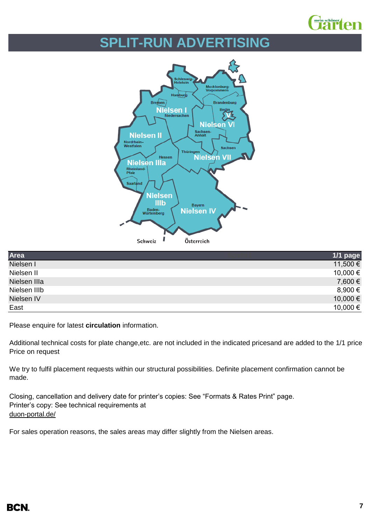

# **SPLIT-RUN ADVERTISING**



| Area         | 1/1 page |
|--------------|----------|
| Nielsen I    | 11,500 € |
| Nielsen II   | 10,000 € |
| Nielsen IIIa | 7,600 €  |
| Nielsen IIIb | 8,900 €  |
| Nielsen IV   | 10,000 € |
| East         | 10,000 € |

Please enquire for latest **circulation** information.

Additional technical costs for plate change, etc. are not included in the indicated pricesand are added to the 1/1 price Price on request

We try to fulfil placement requests within our structural possibilities. Definite placement confirmation cannot be made.

Closing, cancellation and delivery date for printer's copies: See "Formats & Rates Print" page. Printer's copy: See technical requirements at [duon-portal.de/](https://duon-portal.de/)

For sales operation reasons, the sales areas may differ slightly from the Nielsen areas.